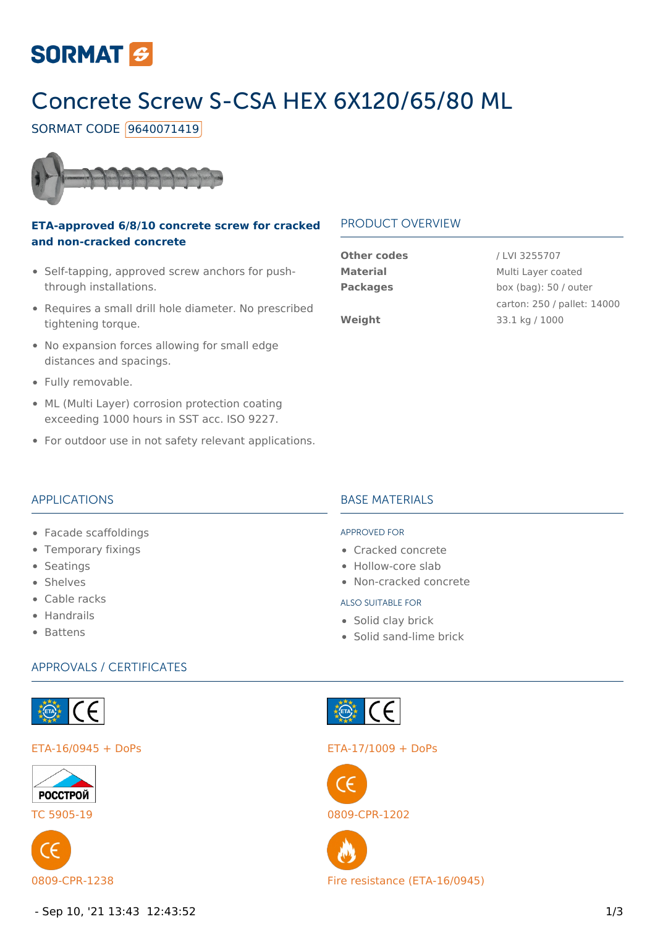

# Concrete Screw S-CSA HEX 6X120/65/80 ML

SORMAT CODE 9640071419



#### **ETA-approved 6/8/10 concrete screw for cracked and non-cracked concrete**

- Self-tapping, approved screw anchors for pushthrough installations.
- Requires a small drill hole diameter. No prescribed tightening torque.
- No expansion forces allowing for small edge distances and spacings.
- Fully removable.
- ML (Multi Layer) corrosion protection coating exceeding 1000 hours in SST acc. ISO 9227.
- For outdoor use in not safety relevant applications.

#### PRODUCT OVERVIEW

| <b>Other codes</b> |
|--------------------|
| <b>Material</b>    |
| <b>Packages</b>    |
|                    |
| Weiaht             |

**Other codes** / LVI 3255707 **Multi Layer coated** box (bag): 50 / outer carton: 250 / pallet: 14000 **Weight** 33.1 kg / 1000

#### APPLICATIONS

- Facade scaffoldings
- Temporary fixings
- Seatings
- Shelves
- Cable racks
- Handrails
- Battens

## **BASE MATERIALS**

#### APPROVED FOR

- Cracked concrete
- Hollow-core slab
- Non-cracked concrete

#### ALSO SUITABLE FOR

- Solid clay brick
- Solid sand-lime brick

#### APPROVALS / CERTIFICATES







Set CE

#### ETA-16/0945 + DoPs ETA-17/1009 + DoPs



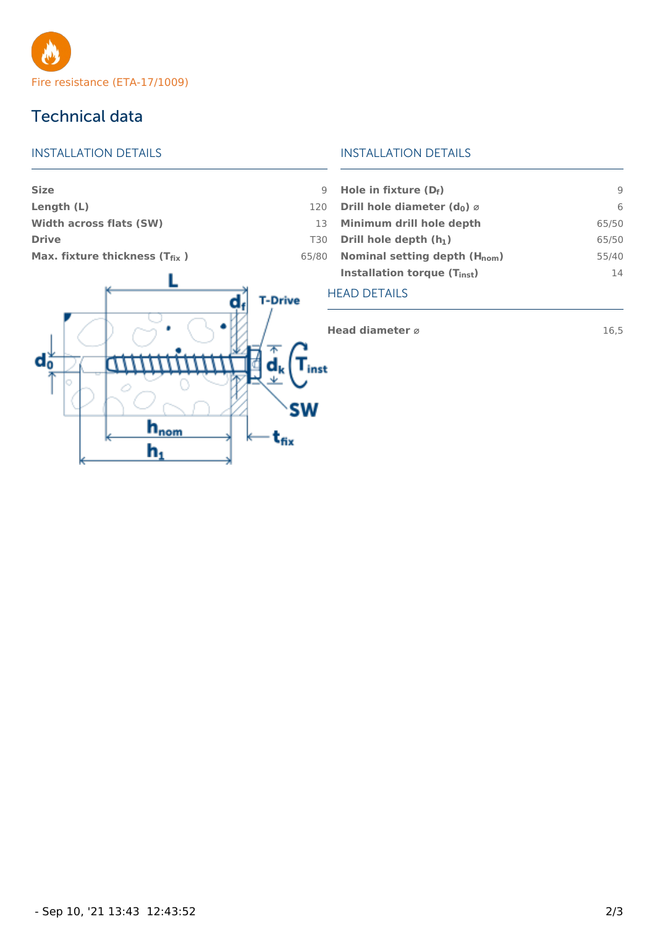

### Technical data

#### INSTALLATION DETAILS

### **Size** 9 **Length (L)** 120

**Width across flats (SW)** 13 **Drive** T30

**Max. fixture thickness (T<sub>fix</sub>) 65/80** 



#### INSTALLATION DETAILS

| Hole in fixture $(D_f)$                             |       |
|-----------------------------------------------------|-------|
| Drill hole diameter (d <sub>0</sub> ) $\varnothing$ | 6     |
| Minimum drill hole depth                            | 65/50 |
| Drill hole depth $(h_1)$                            | 65/50 |
| Nominal setting depth $(H_{nom})$                   | 55/40 |
| Installation torque (T <sub>inst</sub> )            | 14    |
|                                                     |       |

#### HEAD DETAILS

**Head diameter**  $\emptyset$